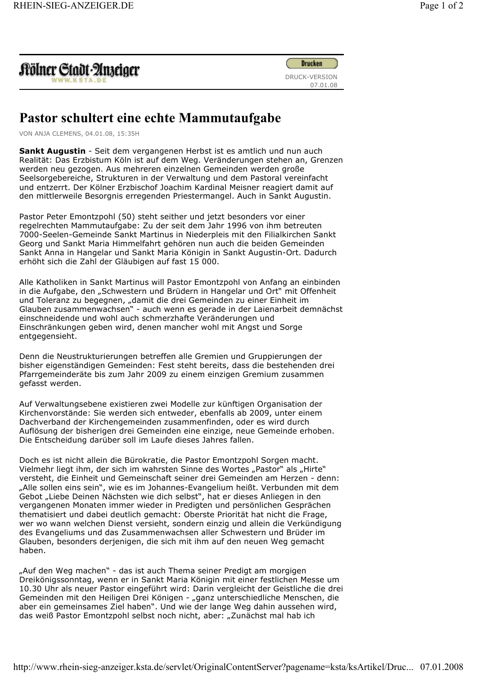| Aölner Gtadt-Anzeiger<br>WWW.KSTA.DE |  |
|--------------------------------------|--|
|--------------------------------------|--|



## Pastor schultert eine echte Mammutaufgabe

VON ANJA CLEMENS, 04.01.08, 15:35H

Sankt Augustin - Seit dem vergangenen Herbst ist es amtlich und nun auch Realität: Das Erzbistum Köln ist auf dem Weg. Veränderungen stehen an, Grenzen werden neu gezogen. Aus mehreren einzelnen Gemeinden werden große Seelsorgebereiche, Strukturen in der Verwaltung und dem Pastoral vereinfacht und entzerrt. Der Kölner Erzbischof Joachim Kardinal Meisner reagiert damit auf den mittlerweile Besorgnis erregenden Priestermangel. Auch in Sankt Augustin.

Pastor Peter Emontzpohl (50) steht seither und jetzt besonders vor einer regelrechten Mammutaufgabe: Zu der seit dem Jahr 1996 von ihm betreuten 7000-Seelen-Gemeinde Sankt Martinus in Niederpleis mit den Filialkirchen Sankt Georg und Sankt Maria Himmelfahrt gehören nun auch die beiden Gemeinden Sankt Anna in Hangelar und Sankt Maria Königin in Sankt Augustin-Ort. Dadurch erhöht sich die Zahl der Gläubigen auf fast 15 000.

Alle Katholiken in Sankt Martinus will Pastor Emontzpohl von Anfang an einbinden in die Aufgabe, den "Schwestern und Brüdern in Hangelar und Ort" mit Offenheit und Toleranz zu begegnen, "damit die drei Gemeinden zu einer Einheit im Glauben zusammenwachsen" - auch wenn es gerade in der Laienarbeit demnächst einschneidende und wohl auch schmerzhafte Veränderungen und Einschränkungen geben wird, denen mancher wohl mit Angst und Sorge entgegensieht.

Denn die Neustrukturierungen betreffen alle Gremien und Gruppierungen der bisher eigenständigen Gemeinden: Fest steht bereits, dass die bestehenden drei Pfarrgemeinderäte bis zum Jahr 2009 zu einem einzigen Gremium zusammen gefasst werden.

Auf Verwaltungsebene existieren zwei Modelle zur künftigen Organisation der Kirchenvorstände: Sie werden sich entweder, ebenfalls ab 2009, unter einem Dachverband der Kirchengemeinden zusammenfinden, oder es wird durch Auflösung der bisherigen drei Gemeinden eine einzige, neue Gemeinde erhoben. Die Entscheidung darüber soll im Laufe dieses Jahres fallen.

Doch es ist nicht allein die Bürokratie, die Pastor Emontzpohl Sorgen macht. Vielmehr liegt ihm, der sich im wahrsten Sinne des Wortes "Pastor" als "Hirte" versteht, die Einheit und Gemeinschaft seiner drei Gemeinden am Herzen - denn: "Alle sollen eins sein", wie es im Johannes-Evangelium heißt. Verbunden mit dem Gebot "Liebe Deinen Nächsten wie dich selbst", hat er dieses Anliegen in den vergangenen Monaten immer wieder in Predigten und persönlichen Gesprächen thematisiert und dabei deutlich gemacht: Oberste Priorität hat nicht die Frage, wer wo wann welchen Dienst versieht, sondern einzig und allein die Verkündigung des Evangeliums und das Zusammenwachsen aller Schwestern und Brüder im Glauben, besonders derjenigen, die sich mit ihm auf den neuen Weg gemacht haben.

"Auf den Weg machen" - das ist auch Thema seiner Predigt am morgigen Dreikönigssonntag, wenn er in Sankt Maria Königin mit einer festlichen Messe um 10.30 Uhr als neuer Pastor eingeführt wird: Darin vergleicht der Geistliche die drei Gemeinden mit den Heiligen Drei Königen - "ganz unterschiedliche Menschen, die aber ein gemeinsames Ziel haben". Und wie der lange Weg dahin aussehen wird, das weiß Pastor Emontzpohl selbst noch nicht, aber: "Zunächst mal hab ich